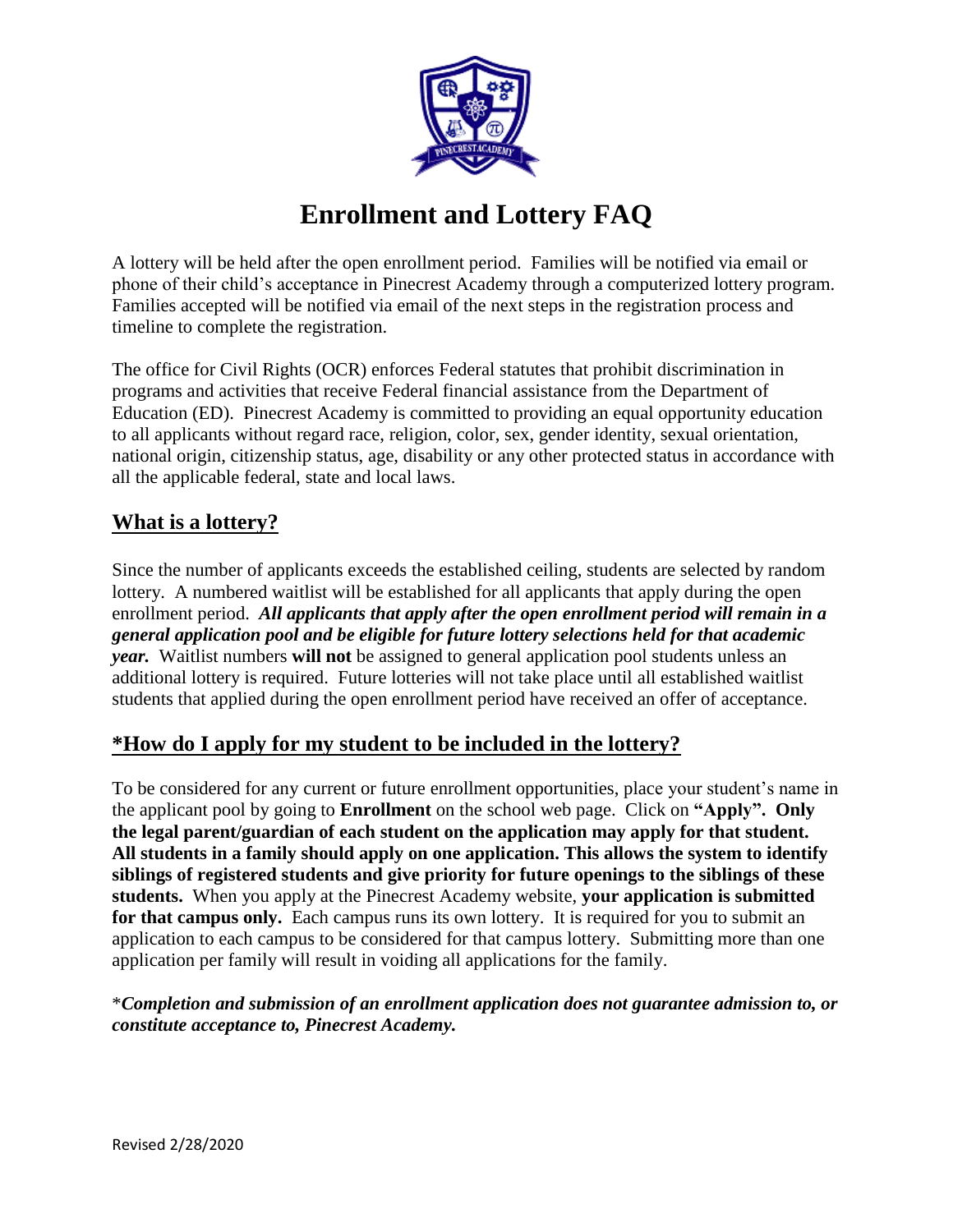

# **Enrollment and Lottery FAQ**

A lottery will be held after the open enrollment period. Families will be notified via email or phone of their child's acceptance in Pinecrest Academy through a computerized lottery program. Families accepted will be notified via email of the next steps in the registration process and timeline to complete the registration.

The office for Civil Rights (OCR) enforces Federal statutes that prohibit discrimination in programs and activities that receive Federal financial assistance from the Department of Education (ED). Pinecrest Academy is committed to providing an equal opportunity education to all applicants without regard race, religion, color, sex, gender identity, sexual orientation, national origin, citizenship status, age, disability or any other protected status in accordance with all the applicable federal, state and local laws.

#### **What is a lottery?**

Since the number of applicants exceeds the established ceiling, students are selected by random lottery. A numbered waitlist will be established for all applicants that apply during the open enrollment period. *All applicants that apply after the open enrollment period will remain in a general application pool and be eligible for future lottery selections held for that academic year.* Waitlist numbers **will not** be assigned to general application pool students unless an additional lottery is required. Future lotteries will not take place until all established waitlist students that applied during the open enrollment period have received an offer of acceptance.

## **\*How do I apply for my student to be included in the lottery?**

To be considered for any current or future enrollment opportunities, place your student's name in the applicant pool by going to **Enrollment** on the school web page. Click on **"Apply". Only the legal parent/guardian of each student on the application may apply for that student. All students in a family should apply on one application. This allows the system to identify siblings of registered students and give priority for future openings to the siblings of these students.** When you apply at the Pinecrest Academy website, **your application is submitted**  for that campus only. Each campus runs its own lottery. It is required for you to submit an application to each campus to be considered for that campus lottery. Submitting more than one application per family will result in voiding all applications for the family.

\**Completion and submission of an enrollment application does not guarantee admission to, or constitute acceptance to, Pinecrest Academy.*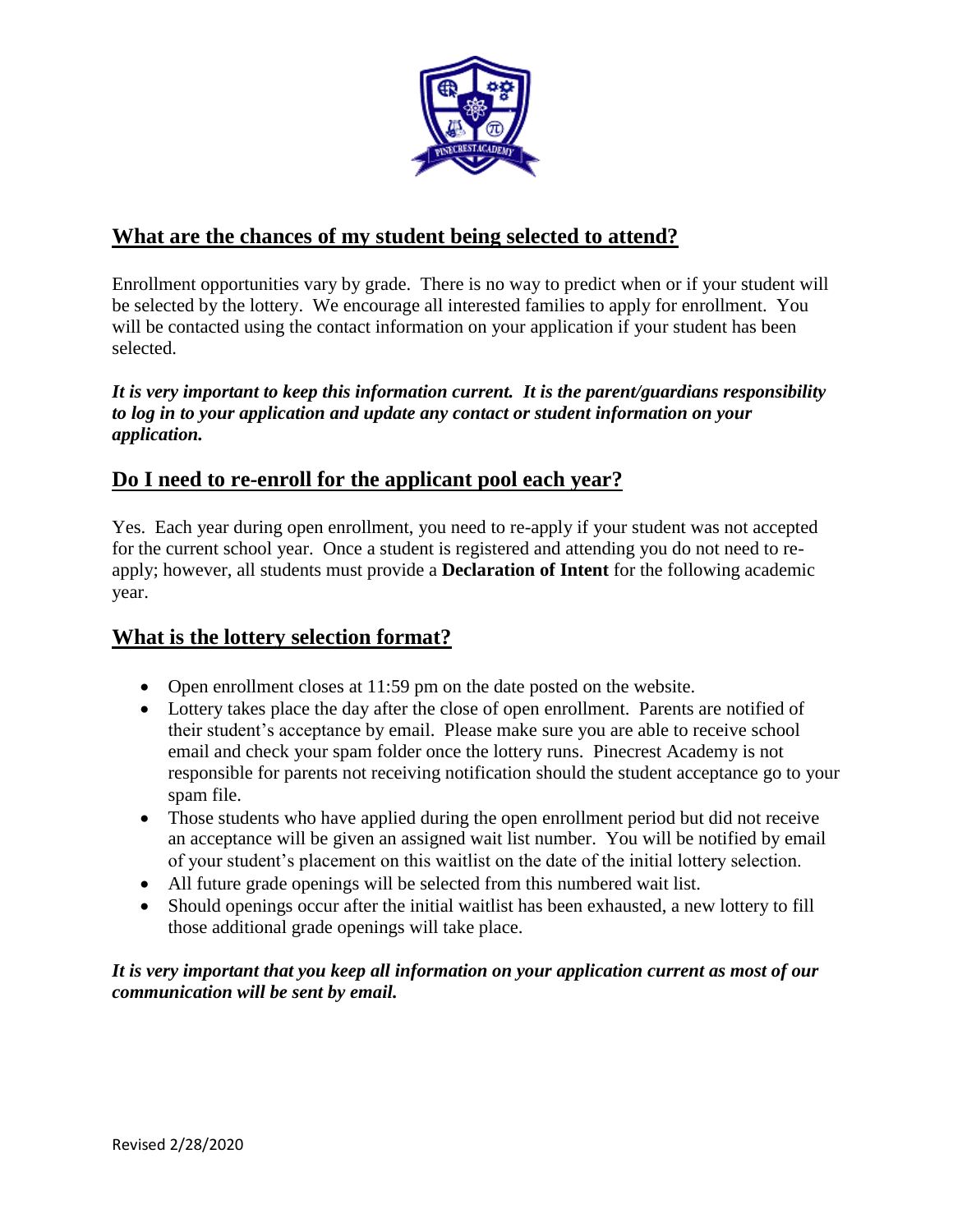

# **What are the chances of my student being selected to attend?**

Enrollment opportunities vary by grade. There is no way to predict when or if your student will be selected by the lottery. We encourage all interested families to apply for enrollment. You will be contacted using the contact information on your application if your student has been selected.

*It is very important to keep this information current. It is the parent/guardians responsibility to log in to your application and update any contact or student information on your application.*

## **Do I need to re-enroll for the applicant pool each year?**

Yes. Each year during open enrollment, you need to re-apply if your student was not accepted for the current school year. Once a student is registered and attending you do not need to reapply; however, all students must provide a **Declaration of Intent** for the following academic year.

## **What is the lottery selection format?**

- Open enrollment closes at 11:59 pm on the date posted on the website.
- Lottery takes place the day after the close of open enrollment. Parents are notified of their student's acceptance by email. Please make sure you are able to receive school email and check your spam folder once the lottery runs. Pinecrest Academy is not responsible for parents not receiving notification should the student acceptance go to your spam file.
- Those students who have applied during the open enrollment period but did not receive an acceptance will be given an assigned wait list number. You will be notified by email of your student's placement on this waitlist on the date of the initial lottery selection.
- All future grade openings will be selected from this numbered wait list.
- Should openings occur after the initial waitlist has been exhausted, a new lottery to fill those additional grade openings will take place.

*It is very important that you keep all information on your application current as most of our communication will be sent by email.*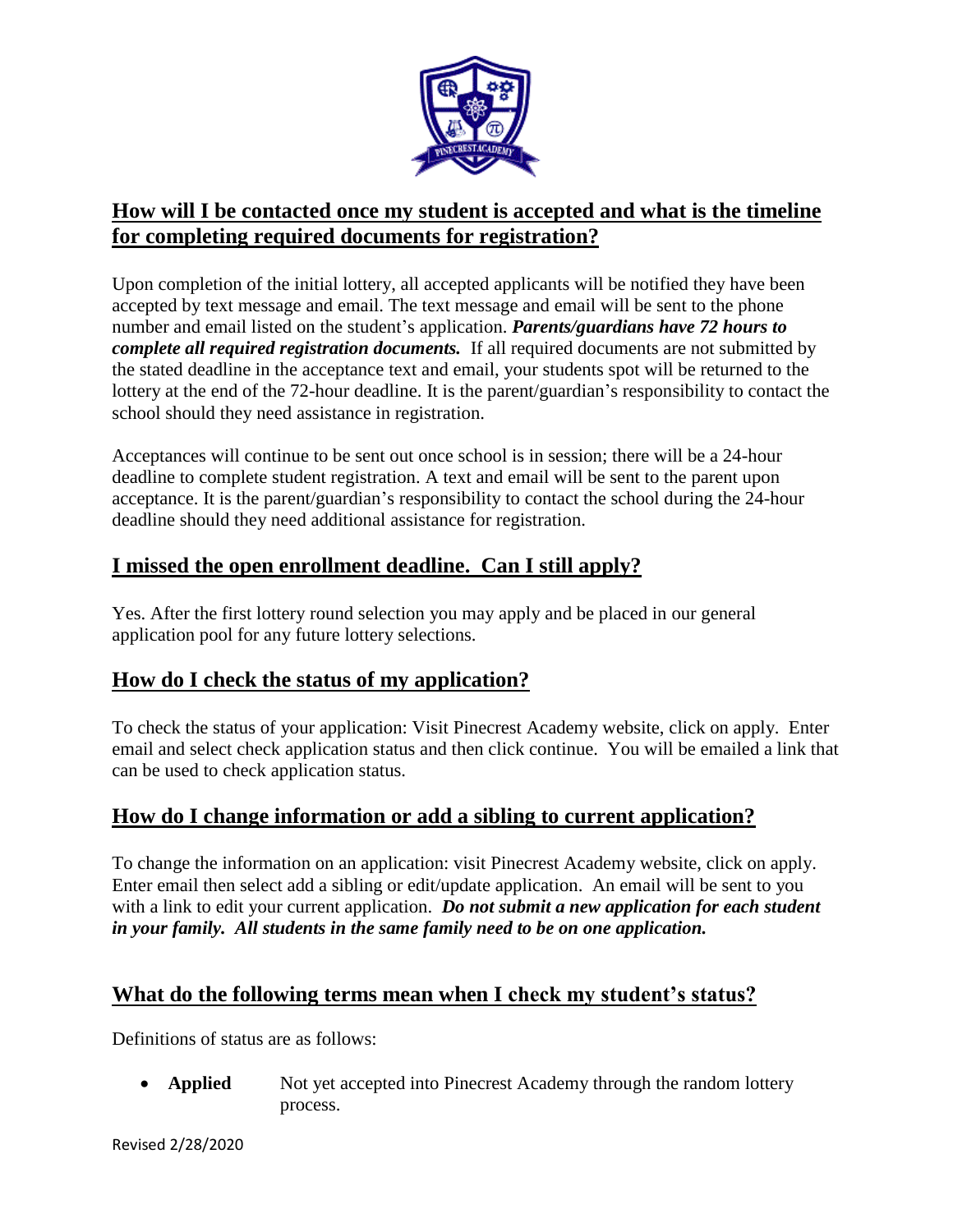

# **How will I be contacted once my student is accepted and what is the timeline for completing required documents for registration?**

Upon completion of the initial lottery, all accepted applicants will be notified they have been accepted by text message and email. The text message and email will be sent to the phone number and email listed on the student's application. *Parents/guardians have 72 hours to complete all required registration documents.* If all required documents are not submitted by the stated deadline in the acceptance text and email, your students spot will be returned to the lottery at the end of the 72-hour deadline. It is the parent/guardian's responsibility to contact the school should they need assistance in registration.

Acceptances will continue to be sent out once school is in session; there will be a 24-hour deadline to complete student registration. A text and email will be sent to the parent upon acceptance. It is the parent/guardian's responsibility to contact the school during the 24-hour deadline should they need additional assistance for registration.

# **I missed the open enrollment deadline. Can I still apply?**

Yes. After the first lottery round selection you may apply and be placed in our general application pool for any future lottery selections.

## **How do I check the status of my application?**

To check the status of your application: Visit Pinecrest Academy website, click on apply. Enter email and select check application status and then click continue. You will be emailed a link that can be used to check application status.

## **How do I change information or add a sibling to current application?**

To change the information on an application: visit Pinecrest Academy website, click on apply. Enter email then select add a sibling or edit/update application. An email will be sent to you with a link to edit your current application. *Do not submit a new application for each student in your family. All students in the same family need to be on one application.*

# **What do the following terms mean when I check my student's status?**

Definitions of status are as follows:

• **Applied** Not yet accepted into Pinecrest Academy through the random lottery process.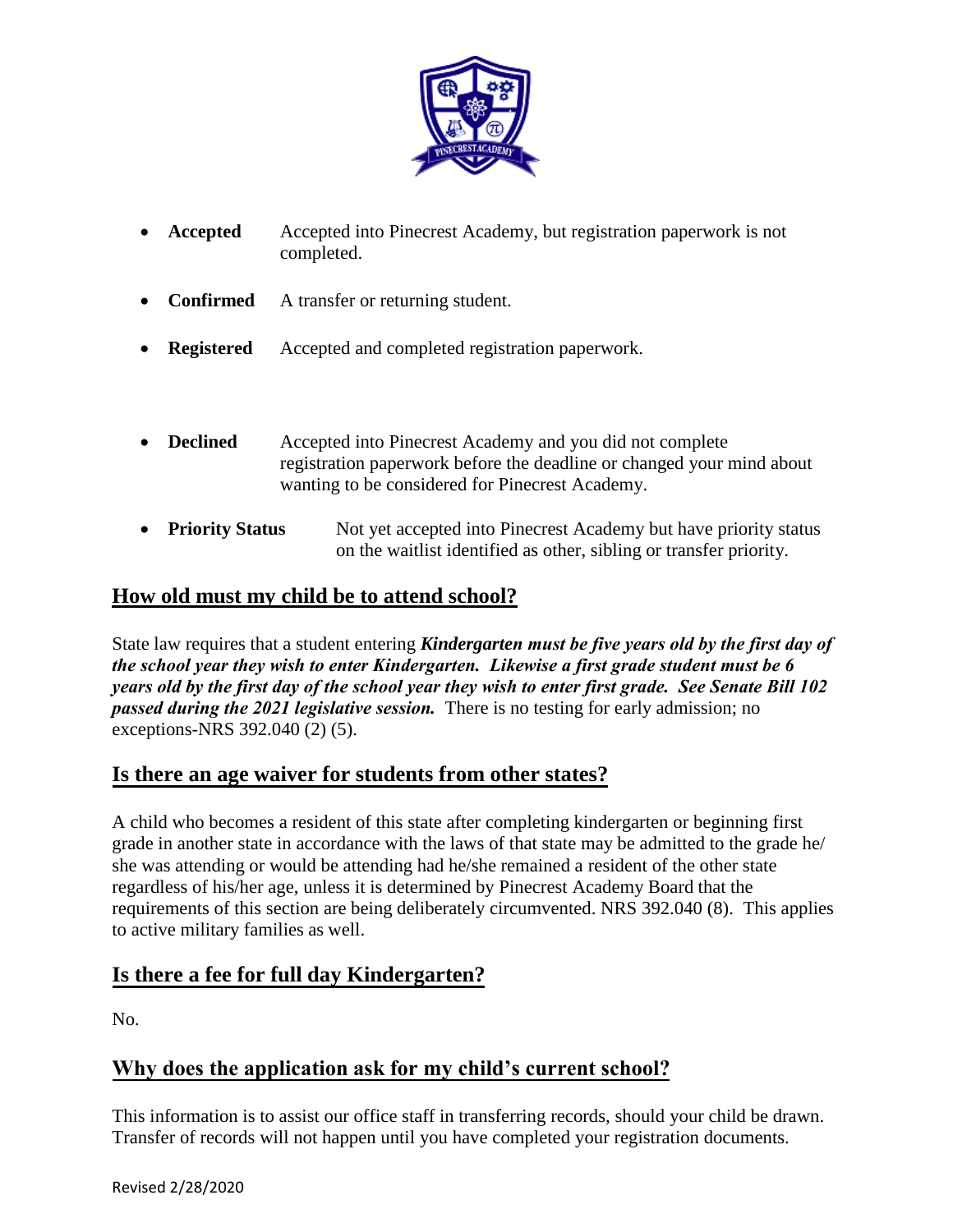

- **Accepted** Accepted into Pinecrest Academy, but registration paperwork is not completed.
- **Confirmed** A transfer or returning student.
- **Registered** Accepted and completed registration paperwork.
- **Declined** Accepted into Pinecrest Academy and you did not complete registration paperwork before the deadline or changed your mind about wanting to be considered for Pinecrest Academy.
- **Priority Status** Not yet accepted into Pinecrest Academy but have priority status on the waitlist identified as other, sibling or transfer priority.

# **How old must my child be to attend school?**

State law requires that a student entering *Kindergarten must be five years old by the first day of the school year they wish to enter Kindergarten. Likewise a first grade student must be 6 years old by the first day of the school year they wish to enter first grade. See Senate Bill 102 passed during the 2021 legislative session.* There is no testing for early admission; no exceptions-NRS 392.040 (2) (5).

## **Is there an age waiver for students from other states?**

A child who becomes a resident of this state after completing kindergarten or beginning first grade in another state in accordance with the laws of that state may be admitted to the grade he/ she was attending or would be attending had he/she remained a resident of the other state regardless of his/her age, unless it is determined by Pinecrest Academy Board that the requirements of this section are being deliberately circumvented. NRS 392.040 (8). This applies to active military families as well.

## **Is there a fee for full day Kindergarten?**

No.

# **Why does the application ask for my child's current school?**

This information is to assist our office staff in transferring records, should your child be drawn. Transfer of records will not happen until you have completed your registration documents.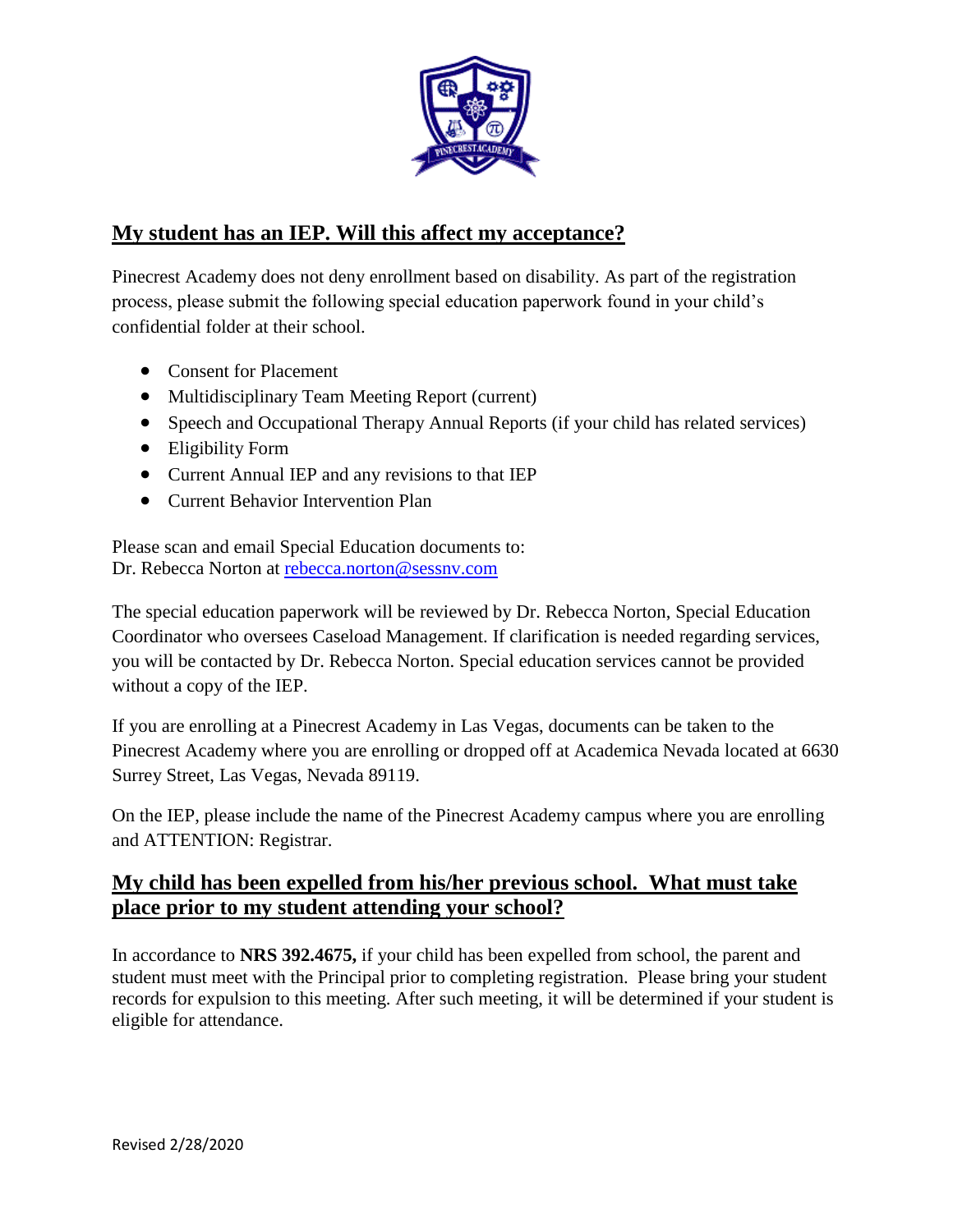

# **My student has an IEP. Will this affect my acceptance?**

Pinecrest Academy does not deny enrollment based on disability. As part of the registration process, please submit the following special education paperwork found in your child's confidential folder at their school.

- Consent for Placement
- Multidisciplinary Team Meeting Report (current)
- Speech and Occupational Therapy Annual Reports (if your child has related services)
- Eligibility Form
- Current Annual IEP and any revisions to that IEP
- **•** Current Behavior Intervention Plan

Please scan and email Special Education documents to: Dr. Rebecca Norton at [rebecca.norton@sessnv.com](mailto:rebecca.norton@sessnv.com)

The special education paperwork will be reviewed by Dr. Rebecca Norton, Special Education Coordinator who oversees Caseload Management. If clarification is needed regarding services, you will be contacted by Dr. Rebecca Norton. Special education services cannot be provided without a copy of the IEP.

If you are enrolling at a Pinecrest Academy in Las Vegas, documents can be taken to the Pinecrest Academy where you are enrolling or dropped off at Academica Nevada located at 6630 Surrey Street, Las Vegas, Nevada 89119.

On the IEP, please include the name of the Pinecrest Academy campus where you are enrolling and ATTENTION: Registrar.

## **My child has been expelled from his/her previous school. What must take place prior to my student attending your school?**

In accordance to **NRS 392.4675,** if your child has been expelled from school, the parent and student must meet with the Principal prior to completing registration. Please bring your student records for expulsion to this meeting. After such meeting, it will be determined if your student is eligible for attendance.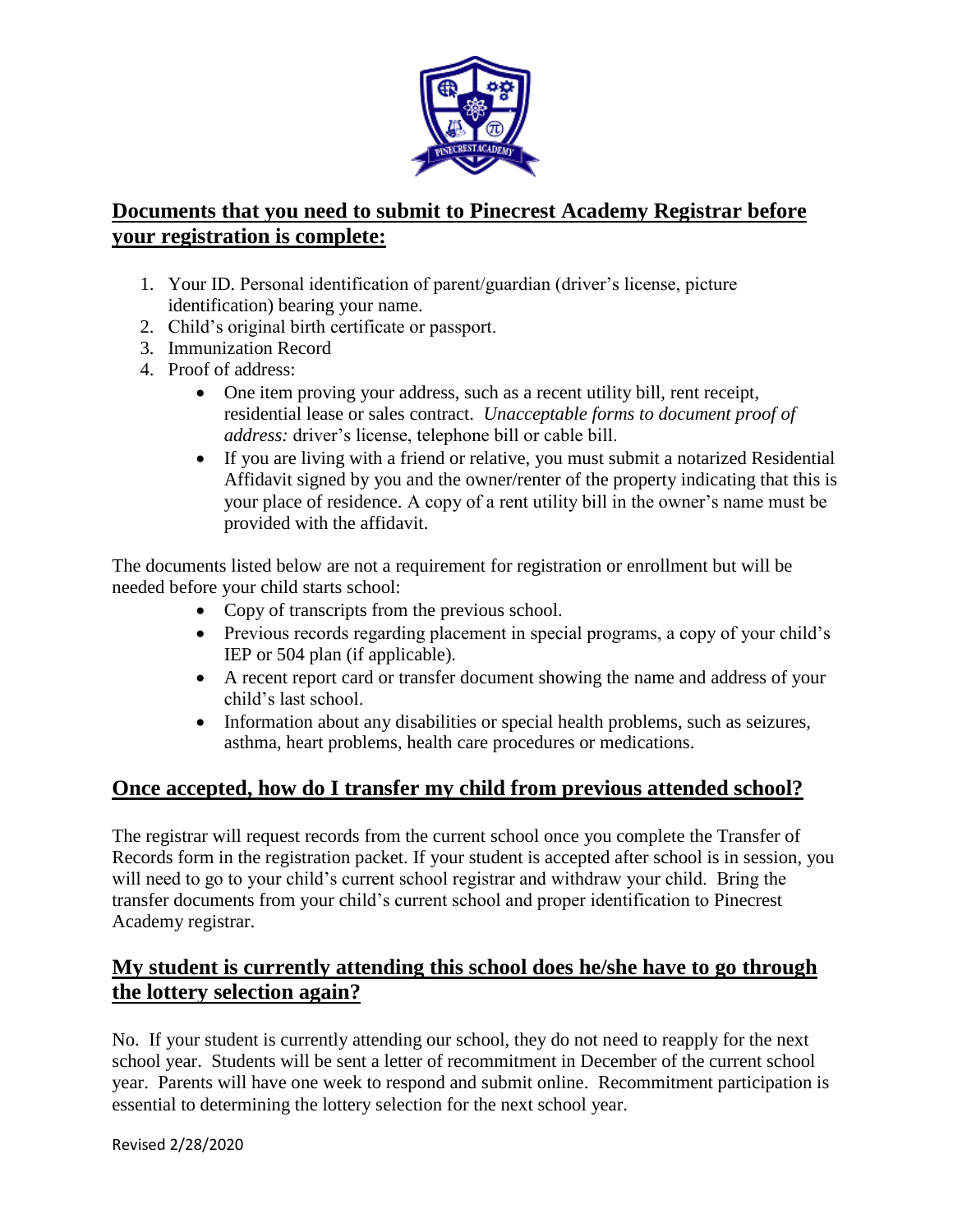

# **Documents that you need to submit to Pinecrest Academy Registrar before your registration is complete:**

- 1. Your ID. Personal identification of parent/guardian (driver's license, picture identification) bearing your name.
- 2. Child's original birth certificate or passport.
- 3. Immunization Record
- 4. Proof of address:
	- One item proving your address, such as a recent utility bill, rent receipt, residential lease or sales contract. *Unacceptable forms to document proof of address:* driver's license, telephone bill or cable bill.
	- If you are living with a friend or relative, you must submit a notarized Residential Affidavit signed by you and the owner/renter of the property indicating that this is your place of residence. A copy of a rent utility bill in the owner's name must be provided with the affidavit.

The documents listed below are not a requirement for registration or enrollment but will be needed before your child starts school:

- Copy of transcripts from the previous school.
- Previous records regarding placement in special programs, a copy of your child's IEP or 504 plan (if applicable).
- A recent report card or transfer document showing the name and address of your child's last school.
- Information about any disabilities or special health problems, such as seizures, asthma, heart problems, health care procedures or medications.

# **Once accepted, how do I transfer my child from previous attended school?**

The registrar will request records from the current school once you complete the Transfer of Records form in the registration packet. If your student is accepted after school is in session, you will need to go to your child's current school registrar and withdraw your child. Bring the transfer documents from your child's current school and proper identification to Pinecrest Academy registrar.

# **My student is currently attending this school does he/she have to go through the lottery selection again?**

No. If your student is currently attending our school, they do not need to reapply for the next school year. Students will be sent a letter of recommitment in December of the current school year. Parents will have one week to respond and submit online. Recommitment participation is essential to determining the lottery selection for the next school year.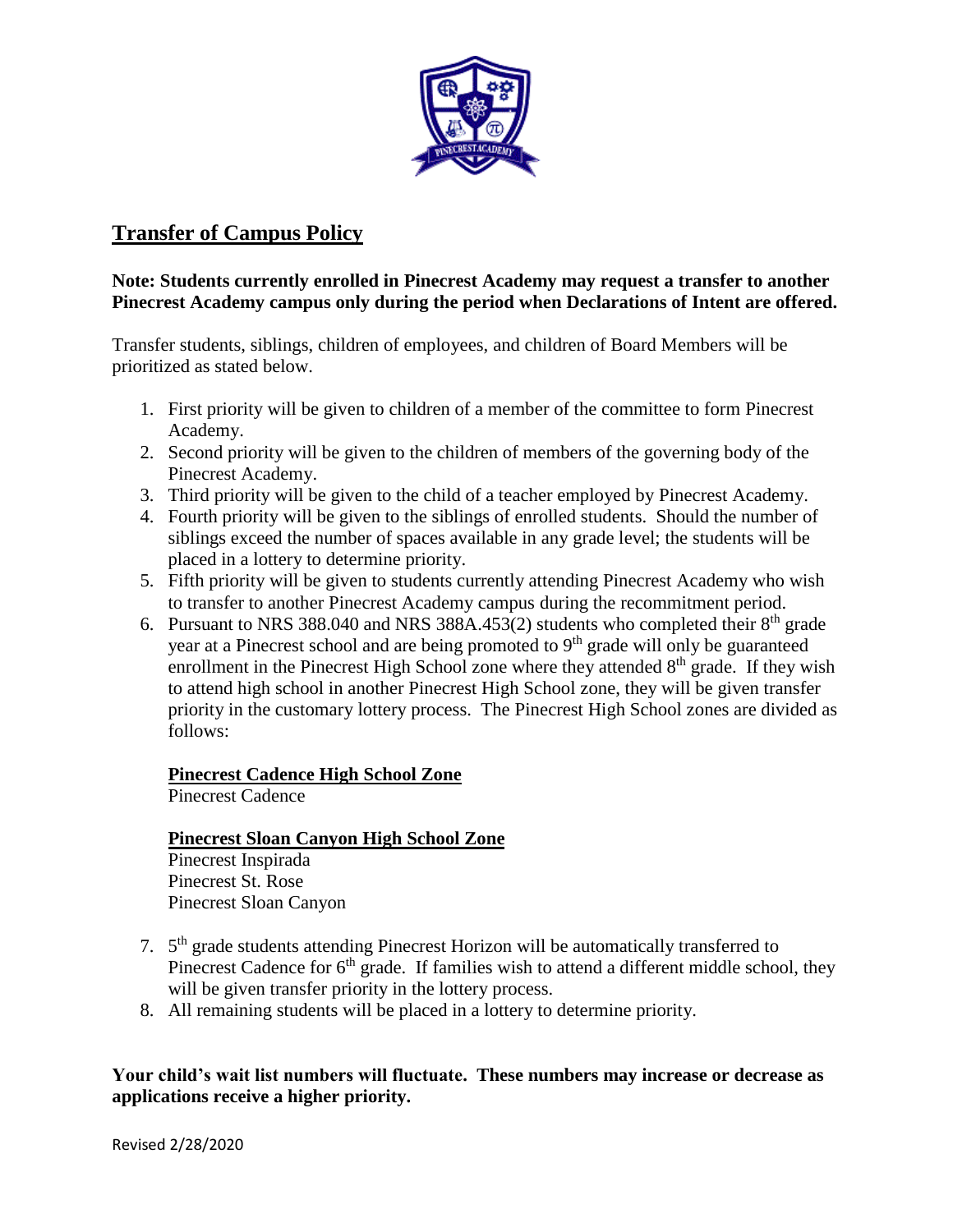

# **Transfer of Campus Policy**

#### **Note: Students currently enrolled in Pinecrest Academy may request a transfer to another Pinecrest Academy campus only during the period when Declarations of Intent are offered.**

Transfer students, siblings, children of employees, and children of Board Members will be prioritized as stated below.

- 1. First priority will be given to children of a member of the committee to form Pinecrest Academy.
- 2. Second priority will be given to the children of members of the governing body of the Pinecrest Academy.
- 3. Third priority will be given to the child of a teacher employed by Pinecrest Academy.
- 4. Fourth priority will be given to the siblings of enrolled students. Should the number of siblings exceed the number of spaces available in any grade level; the students will be placed in a lottery to determine priority.
- 5. Fifth priority will be given to students currently attending Pinecrest Academy who wish to transfer to another Pinecrest Academy campus during the recommitment period.
- 6. Pursuant to NRS 388.040 and NRS 388A.453(2) students who completed their  $8<sup>th</sup>$  grade year at a Pinecrest school and are being promoted to 9<sup>th</sup> grade will only be guaranteed enrollment in the Pinecrest High School zone where they attended  $8<sup>th</sup>$  grade. If they wish to attend high school in another Pinecrest High School zone, they will be given transfer priority in the customary lottery process. The Pinecrest High School zones are divided as follows:

#### **Pinecrest Cadence High School Zone**

Pinecrest Cadence

#### **Pinecrest Sloan Canyon High School Zone**

Pinecrest Inspirada Pinecrest St. Rose Pinecrest Sloan Canyon

- 7. 5<sup>th</sup> grade students attending Pinecrest Horizon will be automatically transferred to Pinecrest Cadence for  $6<sup>th</sup>$  grade. If families wish to attend a different middle school, they will be given transfer priority in the lottery process.
- 8. All remaining students will be placed in a lottery to determine priority.

#### **Your child's wait list numbers will fluctuate. These numbers may increase or decrease as applications receive a higher priority.**